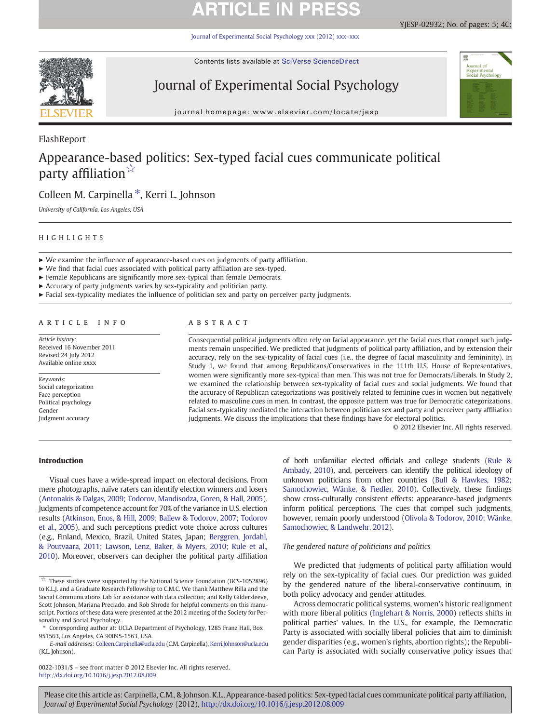# **ARTICLE IN PRES**

[Journal of Experimental Social Psychology xxx \(2012\) xxx](http://dx.doi.org/10.1016/j.jesp.2012.08.009)–xxx



Contents lists available at SciVerse ScienceDirect

## Journal of Experimental Social Psychology



journal homepage: www.elsevier.com/locate/jesp

### FlashReport

## Appearance-based politics: Sex-typed facial cues communicate political party affiliation $\sqrt[x]{x}$

## Colleen M. Carpinella ⁎, Kerri L. Johnson

University of California, Los Angeles, USA

#### HIGHLIGHTS

- ► We examine the influence of appearance-based cues on judgments of party affiliation.
- ► We find that facial cues associated with political party affiliation are sex-typed.
- ► Female Republicans are significantly more sex-typical than female Democrats.
- ► Accuracy of party judgments varies by sex-typicality and politician party.
- $\blacktriangleright$  Facial sex-typicality mediates the influence of politician sex and party on perceiver party judgments.

### article info abstract

Article history: Received 16 November 2011 Revised 24 July 2012 Available online xxxx

Keywords: Social categorization Face perception Political psychology Gender Judgment accuracy

Consequential political judgments often rely on facial appearance, yet the facial cues that compel such judgments remain unspecified. We predicted that judgments of political party affiliation, and by extension their accuracy, rely on the sex-typicality of facial cues (i.e., the degree of facial masculinity and femininity). In Study 1, we found that among Republicans/Conservatives in the 111th U.S. House of Representatives, women were significantly more sex-typical than men. This was not true for Democrats/Liberals. In Study 2, we examined the relationship between sex-typicality of facial cues and social judgments. We found that the accuracy of Republican categorizations was positively related to feminine cues in women but negatively related to masculine cues in men. In contrast, the opposite pattern was true for Democratic categorizations. Facial sex-typicality mediated the interaction between politician sex and party and perceiver party affiliation judgments. We discuss the implications that these findings have for electoral politics.

© 2012 Elsevier Inc. All rights reserved.

### Introduction

Visual cues have a wide-spread impact on electoral decisions. From mere photographs, naïve raters can identify election winners and losers [\(Antonakis & Dalgas, 2009; Todorov, Mandisodza, Goren, & Hall, 2005](#page-4-0)). Judgments of competence account for 70% of the variance in U.S. election results ([Atkinson, Enos, & Hill, 2009; Ballew & Todorov, 2007; Todorov](#page-4-0) [et al., 2005](#page-4-0)), and such perceptions predict vote choice across cultures (e.g., Finland, Mexico, Brazil, United States, Japan; [Berggren, Jordahl,](#page-4-0) [& Poutvaara, 2011; Lawson, Lenz, Baker, & Myers, 2010; Rule et al.,](#page-4-0) [2010](#page-4-0)). Moreover, observers can decipher the political party affiliation

0022-1031/\$ – see front matter © 2012 Elsevier Inc. All rights reserved. <http://dx.doi.org/10.1016/j.jesp.2012.08.009>

of both unfamiliar elected officials and college students [\(Rule &](#page-4-0) [Ambady, 2010\)](#page-4-0), and, perceivers can identify the political ideology of unknown politicians from other countries [\(Bull & Hawkes, 1982;](#page-4-0) [Samochowiec, Wänke, & Fiedler, 2010\)](#page-4-0). Collectively, these findings show cross-culturally consistent effects: appearance-based judgments inform political perceptions. The cues that compel such judgments, however, remain poorly understood [\(Olivola & Todorov, 2010; Wänke,](#page-4-0) [Samochowiec, & Landwehr, 2012\)](#page-4-0).

#### The gendered nature of politicians and politics

We predicted that judgments of political party affiliation would rely on the sex-typicality of facial cues. Our prediction was guided by the gendered nature of the liberal-conservative continuum, in both policy advocacy and gender attitudes.

Across democratic political systems, women's historic realignment with more liberal politics [\(Inglehart & Norris, 2000](#page-4-0)) reflects shifts in political parties' values. In the U.S., for example, the Democratic Party is associated with socially liberal policies that aim to diminish gender disparities (e.g., women's rights, abortion rights); the Republican Party is associated with socially conservative policy issues that

 $\overrightarrow{x}$  These studies were supported by the National Science Foundation (BCS-1052896) to K.L.J. and a Graduate Research Fellowship to C.M.C. We thank Matthew Rilla and the Social Communications Lab for assistance with data collection; and Kelly Gildersleeve, Scott Johnson, Mariana Preciado, and Rob Shrode for helpful comments on this manuscript. Portions of these data were presented at the 2012 meeting of the Society for Personality and Social Psychology.

<sup>⁎</sup> Corresponding author at: UCLA Department of Psychology, 1285 Franz Hall, Box 951563, Los Angeles, CA 90095‐1563, USA.

E-mail addresses: [Colleen.Carpinella@ucla.edu](mailto:Colleen.Carpinella@ucla.edu) (C.M. Carpinella), [Kerri.Johnson@ucla.edu](mailto:Kerri.Johnson@ucla.edu) (K.L. Johnson).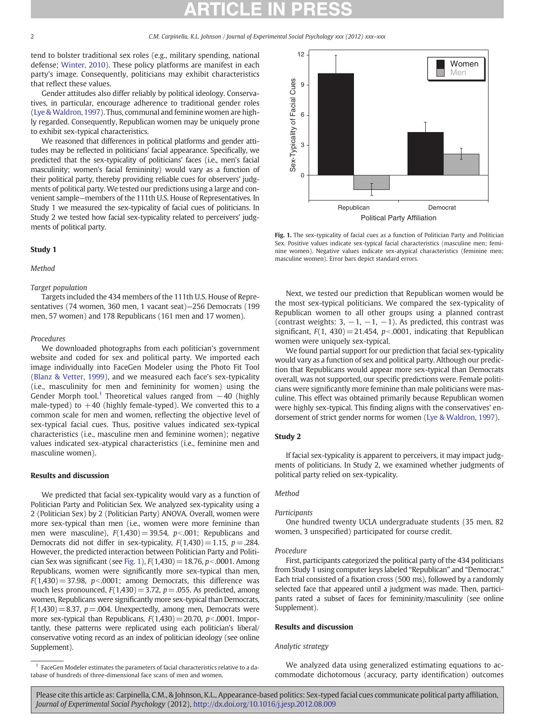tend to bolster traditional sex roles (e.g., military spending, national defense; [Winter, 2010\)](#page-4-0). These policy platforms are manifest in each party's image. Consequently, politicians may exhibit characteristics that reflect these values.

Gender attitudes also differ reliably by political ideology. Conservatives, in particular, encourage adherence to traditional gender roles [\(Lye & Waldron, 1997](#page-4-0)). Thus, communal and feminine women are highly regarded. Consequently, Republican women may be uniquely prone to exhibit sex-typical characteristics.

We reasoned that differences in political platforms and gender attitudes may be reflected in politicians' facial appearance. Specifically, we predicted that the sex-typicality of politicians' faces (i.e., men's facial masculinity; women's facial femininity) would vary as a function of their political party, thereby providing reliable cues for observers' judgments of political party. We tested our predictions using a large and convenient sample—members of the 111th U.S. House of Representatives. In Study 1 we measured the sex-typicality of facial cues of politicians. In Study 2 we tested how facial sex-typicality related to perceivers' judgments of political party.

### Study 1

#### Method

#### Target population

Targets included the 434 members of the 111th U.S. House of Representatives (74 women, 360 men, 1 vacant seat)—256 Democrats (199 men, 57 women) and 178 Republicans (161 men and 17 women).

#### Procedures

We downloaded photographs from each politician's government website and coded for sex and political party. We imported each image individually into FaceGen Modeler using the Photo Fit Tool [\(Blanz & Vetter, 1999\)](#page-4-0), and we measured each face's sex-typicality (i.e., masculinity for men and femininity for women) using the Gender Morph tool.<sup>1</sup> Theoretical values ranged from  $-40$  (highly male-typed) to  $+40$  (highly female-typed). We converted this to a common scale for men and women, reflecting the objective level of sex-typical facial cues. Thus, positive values indicated sex-typical characteristics (i.e., masculine men and feminine women); negative values indicated sex-atypical characteristics (i.e., feminine men and masculine women).

#### Results and discussion

We predicted that facial sex-typicality would vary as a function of Politician Party and Politician Sex. We analyzed sex-typicality using a 2 (Politician Sex) by 2 (Politician Party) ANOVA. Overall, women were more sex-typical than men (i.e., women were more feminine than men were masculine),  $F(1,430) = 39.54$ ,  $p<0.001$ ; Republicans and Democrats did not differ in sex-typicality,  $F(1,430) = 1.15$ ,  $p = .284$ . However, the predicted interaction between Politician Party and Politician Sex was significant (see Fig. 1),  $F(1,430)=18.76$ ,  $p<.0001$ . Among Republicans, women were significantly more sex-typical than men,  $F(1,430)=37.98$ ,  $p<0.0001$ ; among Democrats, this difference was much less pronounced,  $F(1,430) = 3.72$ ,  $p = .055$ . As predicted, among women, Republicans were significantly more sex-typical than Democrats,  $F(1,430)=8.37$ ,  $p=.004$ . Unexpectedly, among men, Democrats were more sex-typical than Republicans,  $F(1,430)=20.70$ ,  $p<.0001$ . Importantly, these patterns were replicated using each politician's liberal/ conservative voting record as an index of politician ideology (see online Supplement).



Fig. 1. The sex-typicality of facial cues as a function of Politician Party and Politician Sex. Positive values indicate sex-typical facial characteristics (masculine men; feminine women). Negative values indicate sex-atypical characteristics (feminine men; masculine women). Error bars depict standard errors.

Next, we tested our prediction that Republican women would be the most sex-typical politicians. We compared the sex-typicality of Republican women to all other groups using a planned contrast (contrast weights: 3,  $-1$ ,  $-1$ ,  $-1$ ). As predicted, this contrast was significant,  $F(1, 430) = 21.454$ ,  $p < .0001$ , indicating that Republican women were uniquely sex-typical.

We found partial support for our prediction that facial sex-typicality would vary as a function of sex and political party. Although our prediction that Republicans would appear more sex-typical than Democrats overall, was not supported, our specific predictions were. Female politicians were significantly more feminine than male politicians were masculine. This effect was obtained primarily because Republican women were highly sex-typical. This finding aligns with the conservatives' endorsement of strict gender norms for women [\(Lye & Waldron, 1997\)](#page-4-0).

#### Study 2

If facial sex-typicality is apparent to perceivers, it may impact judgments of politicians. In Study 2, we examined whether judgments of political party relied on sex-typicality.

#### Method

#### Participants

One hundred twenty UCLA undergraduate students (35 men, 82 women, 3 unspecified) participated for course credit.

#### Procedure

First, participants categorized the political party of the 434 politicians from Study 1 using computer keys labeled "Republican" and "Democrat." Each trial consisted of a fixation cross (500 ms), followed by a randomly selected face that appeared until a judgment was made. Then, participants rated a subset of faces for femininity/masculinity (see online Supplement).

#### Results and discussion

#### Analytic strategy

We analyzed data using generalized estimating equations to accommodate dichotomous (accuracy, party identification) outcomes

<sup>&</sup>lt;sup>1</sup> FaceGen Modeler estimates the parameters of facial characteristics relative to a database of hundreds of three-dimensional face scans of men and women.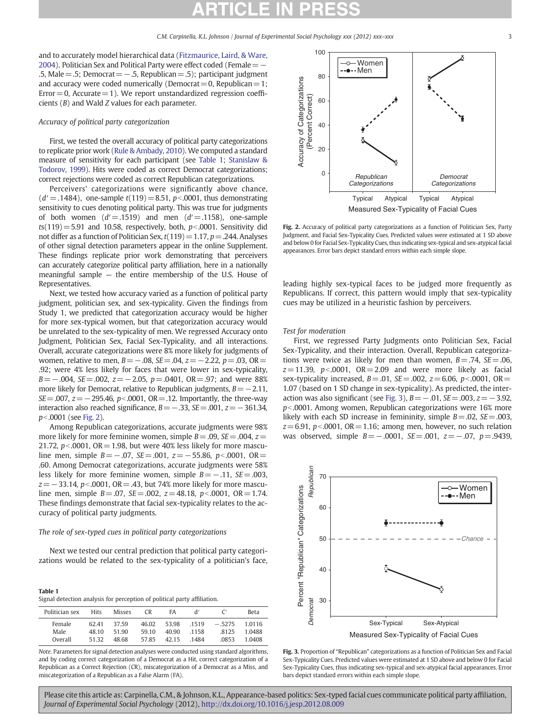and to accurately model hierarchical data ([Fitzmaurice, Laird, & Ware,](#page-4-0) [2004\)](#page-4-0). Politician Sex and Political Party were effect coded (Female = − .5, Male=.5; Democrat=−.5, Republican=.5); participant judgment and accuracy were coded numerically (Democrat  $=0$ , Republican  $=1$ ;  $Error = 0$ ,  $Accurate = 1$ ). We report unstandardized regression coefficients (B) and Wald Z values for each parameter.

#### Accuracy of political party categorization

First, we tested the overall accuracy of political party categorizations to replicate prior work [\(Rule & Ambady, 2010\)](#page-4-0). We computed a standard measure of sensitivity for each participant (see Table 1; [Stanislaw &](#page-4-0) [Todorov, 1999\)](#page-4-0). Hits were coded as correct Democrat categorizations; correct rejections were coded as correct Republican categorizations.

Perceivers' categorizations were significantly above chance,  $(d' = .1484)$ , one-sample  $t(119) = 8.51$ ,  $p < .0001$ , thus demonstrating sensitivity to cues denoting political party. This was true for judgments of both women  $(d'=1519)$  and men  $(d'=1158)$ , one-sample  $ts(119)=5.91$  and 10.58, respectively, both,  $p<.0001$ . Sensitivity did not differ as a function of Politician Sex,  $t(119)=1.17$ ,  $p=.244$ . Analyses of other signal detection parameters appear in the online Supplement. These findings replicate prior work demonstrating that perceivers can accurately categorize political party affiliation, here in a nationally meaningful sample — the entire membership of the U.S. House of Representatives.

Next, we tested how accuracy varied as a function of political party judgment, politician sex, and sex-typicality. Given the findings from Study 1, we predicted that categorization accuracy would be higher for more sex-typical women, but that categorization accuracy would be unrelated to the sex-typicality of men. We regressed Accuracy onto Judgment, Politician Sex, Facial Sex-Typicality, and all interactions. Overall, accurate categorizations were 8% more likely for judgments of women, relative to men,  $B = -.08$ ,  $SE = .04$ ,  $z = -2.22$ ,  $p = .03$ ,  $OR =$ .92; were 4% less likely for faces that were lower in sex-typicality,  $B=-.004$ , SE=.002,  $z=-2.05$ ,  $p=.0401$ , OR=.97; and were 88% more likely for Democrat, relative to Republican judgments,  $B = -2.11$ ,  $SE = .007$ ,  $z = -295.46$ ,  $p < .0001$ ,  $OR = .12$ . Importantly, the three-way interaction also reached significance,  $B = -0.33$ ,  $SE = 0.001$ ,  $z = -361.34$ ,  $p<sub>0001</sub>$  (see Fig. 2).

Among Republican categorizations, accurate judgments were 98% more likely for more feminine women, simple  $B = .09$ ,  $SE = .004$ ,  $z =$ 21.72,  $p<0.0001$ , OR = 1.98, but were 40% less likely for more masculine men, simple  $B=-.07$ , SE=.001, z=−55.86, p<.0001, OR= .60. Among Democrat categorizations, accurate judgments were 58% less likely for more feminine women, simple  $B = -0.11$ , SE= .003,  $z=-33.14$ , p<.0001, OR=.43, but 74% more likely for more masculine men, simple  $B = .07$ ,  $SE = .002$ ,  $z = 48.18$ ,  $p < .0001$ ,  $OR = 1.74$ . These findings demonstrate that facial sex-typicality relates to the accuracy of political party judgments.

#### The role of sex-typed cues in political party categorizations

Next we tested our central prediction that political party categorizations would be related to the sex-typicality of a politician's face,

#### Table 1

Signal detection analysis for perception of political party affiliation.

| Politician sex | Hits  | <b>Misses</b> | C <sub>R</sub> | FA    | ď     |          | <b>Beta</b> |
|----------------|-------|---------------|----------------|-------|-------|----------|-------------|
| Female         | 62.41 | 3759          | 46.02          | 53.98 | .1519 | $-.5275$ | 1.0116      |
| Male           | 48 10 | 51 90         | 59.10          | 40.90 | .1158 | .8125    | 1 0488      |
| Overall        | 51 32 | 48.68         | 5785           | 42.15 | 1484  | 0853     | 1 0408      |

Note. Parameters for signal detection analyses were conducted using standard algorithms, and by coding correct categorization of a Democrat as a Hit, correct categorization of a Republican as a Correct Rejection (CR), miscategorization of a Democrat as a Miss, and miscategorization of a Republican as a False Alarm (FA).



Fig. 2. Accuracy of political party categorizations as a function of Politician Sex, Party Judgment, and Facial Sex-Typicality Cues. Predicted values were estimated at 1 SD above and below 0 for Facial Sex-Typicality Cues, thus indicating sex-typical and sex-atypical facial appearances. Error bars depict standard errors within each simple slope.

leading highly sex-typical faces to be judged more frequently as Republicans. If correct, this pattern would imply that sex-typicality cues may be utilized in a heuristic fashion by perceivers.

Test for moderation

First, we regressed Party Judgments onto Politician Sex, Facial Sex-Typicality, and their interaction. Overall, Republican categorizations were twice as likely for men than women,  $B = .74$ ,  $SE = .06$ ,  $z = 11.39$ ,  $p < .0001$ ,  $OR = 2.09$  and were more likely as facial sex-typicality increased,  $B = .01$ ,  $SE = .002$ ,  $z = 6.06$ ,  $p < .0001$ ,  $OR =$ 1.07 (based on 1 SD change in sex-typicality). As predicted, the interaction was also significant (see Fig. 3),  $B = -0.01$ ,  $SE = 0.003$ ,  $z = -3.92$ ,  $p$ <.0001. Among women, Republican categorizations were 16% more likely with each SD increase in femininity, simple  $B = .02$ ,  $SE = .003$ ,  $z=6.91$ , p<.0001, OR = 1.16; among men, however, no such relation was observed, simple  $B = -.0001$ ,  $SE = .001$ ,  $z = -.07$ ,  $p = .9439$ ,



Fig. 3. Proportion of "Republican" categorizations as a function of Politician Sex and Facial Sex-Typicality Cues. Predicted values were estimated at 1 SD above and below 0 for Facial Sex-Typicality Cues, thus indicating sex-typical and sex-atypical facial appearances. Error bars depict standard errors within each simple slope.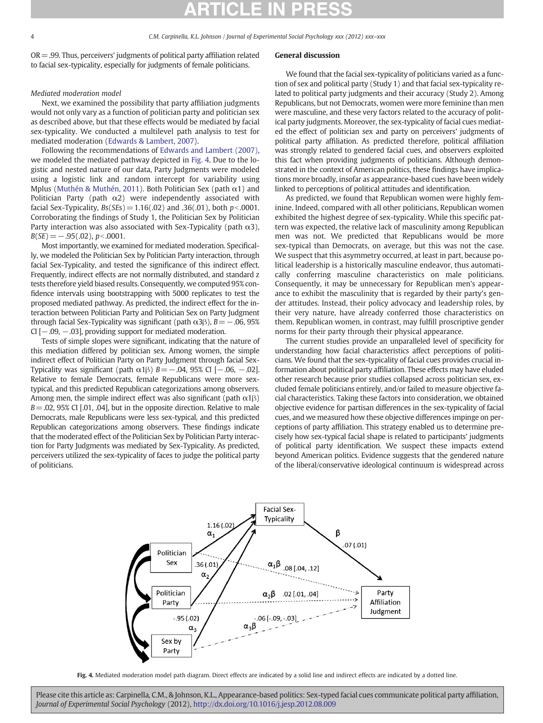$OR = .99$ . Thus, perceivers' judgments of political party affiliation related to facial sex-typicality, especially for judgments of female politicians.

### Mediated moderation model

Next, we examined the possibility that party affiliation judgments would not only vary as a function of politician party and politician sex as described above, but that these effects would be mediated by facial sex-typicality. We conducted a multilevel path analysis to test for mediated moderation ([Edwards & Lambert, 2007\)](#page-4-0).

Following the recommendations of [Edwards and Lambert \(2007\),](#page-4-0) we modeled the mediated pathway depicted in Fig. 4. Due to the logistic and nested nature of our data, Party Judgments were modeled using a logistic link and random intercept for variability using Mplus [\(Muthén & Muthén, 2011](#page-4-0)). Both Politician Sex (path  $\alpha$ 1) and Politician Party (path  $\alpha$ 2) were independently associated with facial Sex-Typicality,  $Bs(SEs) = 1.16(.02)$  and .36(.01), both  $p < .0001$ . Corroborating the findings of Study 1, the Politician Sex by Politician Party interaction was also associated with Sex-Typicality (path  $\alpha$ 3),  $B(SE) = -.95(.02), p<.0001.$ 

Most importantly, we examined for mediated moderation. Specifically, we modeled the Politician Sex by Politician Party interaction, through facial Sex-Typicality, and tested the significance of this indirect effect. Frequently, indirect effects are not normally distributed, and standard z tests therefore yield biased results. Consequently, we computed 95% confidence intervals using bootstrapping with 5000 replicates to test the proposed mediated pathway. As predicted, the indirect effect for the interaction between Politician Party and Politician Sex on Party Judgment through facial Sex-Typicality was significant (path  $\alpha$ 3 $\beta$ ),  $B = -0.06$ , 95% CI [−.09, −.03], providing support for mediated moderation.

Tests of simple slopes were significant, indicating that the nature of this mediation differed by politician sex. Among women, the simple indirect effect of Politician Party on Party Judgment through facial Sex-Typicality was significant (path  $\alpha$ 1 $\beta$ ) B = −.04, 95% CI [−.06, −.02]. Relative to female Democrats, female Republicans were more sextypical, and this predicted Republican categorizations among observers. Among men, the simple indirect effect was also significant (path  $\alpha$ 1 $\beta$ )  $B = .02, 95\%$  CI [.01, .04], but in the opposite direction. Relative to male Democrats, male Republicans were less sex-typical, and this predicted Republican categorizations among observers. These findings indicate that the moderated effect of the Politician Sex by Politician Party interaction for Party Judgments was mediated by Sex-Typicality. As predicted, perceivers utilized the sex-typicality of faces to judge the political party of politicians.

#### General discussion

We found that the facial sex-typicality of politicians varied as a function of sex and political party (Study 1) and that facial sex-typicality related to political party judgments and their accuracy (Study 2). Among Republicans, but not Democrats, women were more feminine than men were masculine, and these very factors related to the accuracy of political party judgments. Moreover, the sex-typicality of facial cues mediated the effect of politician sex and party on perceivers' judgments of political party affiliation. As predicted therefore, political affiliation was strongly related to gendered facial cues, and observers exploited this fact when providing judgments of politicians. Although demonstrated in the context of American politics, these findings have implications more broadly, insofar as appearance-based cues have been widely linked to perceptions of political attitudes and identification.

As predicted, we found that Republican women were highly feminine. Indeed, compared with all other politicians, Republican women exhibited the highest degree of sex-typicality. While this specific pattern was expected, the relative lack of masculinity among Republican men was not. We predicted that Republicans would be more sex-typical than Democrats, on average, but this was not the case. We suspect that this asymmetry occurred, at least in part, because political leadership is a historically masculine endeavor, thus automatically conferring masculine characteristics on male politicians. Consequently, it may be unnecessary for Republican men's appearance to exhibit the masculinity that is regarded by their party's gender attitudes. Instead, their policy advocacy and leadership roles, by their very nature, have already conferred those characteristics on them. Republican women, in contrast, may fulfill proscriptive gender norms for their party through their physical appearance.

The current studies provide an unparalleled level of specificity for understanding how facial characteristics affect perceptions of politicians. We found that the sex-typicality of facial cues provides crucial information about political party affiliation. These effects may have eluded other research because prior studies collapsed across politician sex, excluded female politicians entirely, and/or failed to measure objective facial characteristics. Taking these factors into consideration, we obtained objective evidence for partisan differences in the sex-typicality of facial cues, and we measured how these objective differences impinge on perceptions of party affiliation. This strategy enabled us to determine precisely how sex-typical facial shape is related to participants' judgments of political party identification. We suspect these impacts extend beyond American politics. Evidence suggests that the gendered nature of the liberal/conservative ideological continuum is widespread across



Fig. 4. Mediated moderation model path diagram. Direct effects are indicated by a solid line and indirect effects are indicated by a dotted line.